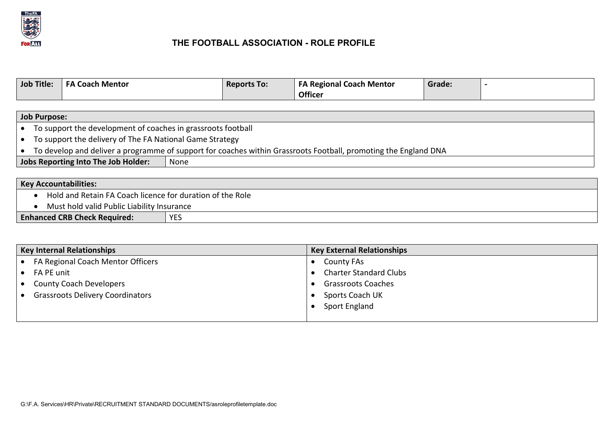

## **THE FOOTBALL ASSOCIATION - ROLE PROFILE**

| <b>Job Title:</b> | . Mentor<br>.oach | <b>Reports To:</b> | <b>Regional</b><br>Mentor ו<br>Coach<br><b>Officer</b> | Grade |  |
|-------------------|-------------------|--------------------|--------------------------------------------------------|-------|--|
|                   |                   |                    |                                                        |       |  |

| <b>Job Purpose:</b>                                                                                             |                                                              |  |  |
|-----------------------------------------------------------------------------------------------------------------|--------------------------------------------------------------|--|--|
|                                                                                                                 | To support the development of coaches in grassroots football |  |  |
| To support the delivery of The FA National Game Strategy                                                        |                                                              |  |  |
| To develop and deliver a programme of support for coaches within Grassroots Football, promoting the England DNA |                                                              |  |  |
| Jobs Reporting Into The Job Holder:<br>None                                                                     |                                                              |  |  |
|                                                                                                                 |                                                              |  |  |
| <b>Key Accountabilities:</b>                                                                                    |                                                              |  |  |

|  |  |  | Hold and Retain FA Coach licence for duration of the Role |
|--|--|--|-----------------------------------------------------------|
|--|--|--|-----------------------------------------------------------|

• Must hold valid Public Liability Insurance

|  | <b>Enhanced CRB Check Required:</b> | <b>YES</b> |
|--|-------------------------------------|------------|
|--|-------------------------------------|------------|

| <b>Key Internal Relationships</b>       | <b>Key External Relationships</b> |
|-----------------------------------------|-----------------------------------|
| • FA Regional Coach Mentor Officers     | <b>County FAs</b>                 |
| $\bullet$ FA PE unit                    | <b>Charter Standard Clubs</b>     |
| <b>County Coach Developers</b>          | <b>Grassroots Coaches</b>         |
| <b>Grassroots Delivery Coordinators</b> | Sports Coach UK                   |
|                                         | Sport England                     |
|                                         |                                   |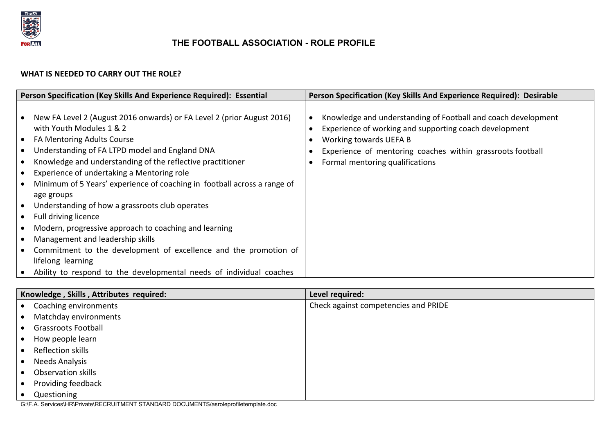

## **THE FOOTBALL ASSOCIATION - ROLE PROFILE**

## **WHAT IS NEEDED TO CARRY OUT THE ROLE?**

| Person Specification (Key Skills And Experience Required): Essential                                                                                                                                                                                                                                                                                                                                                                                                                                                                                                                                                                                                                                                             | Person Specification (Key Skills And Experience Required): Desirable                                                                                                                                                                               |
|----------------------------------------------------------------------------------------------------------------------------------------------------------------------------------------------------------------------------------------------------------------------------------------------------------------------------------------------------------------------------------------------------------------------------------------------------------------------------------------------------------------------------------------------------------------------------------------------------------------------------------------------------------------------------------------------------------------------------------|----------------------------------------------------------------------------------------------------------------------------------------------------------------------------------------------------------------------------------------------------|
| New FA Level 2 (August 2016 onwards) or FA Level 2 (prior August 2016)<br>with Youth Modules 1 & 2<br>FA Mentoring Adults Course<br>Understanding of FA LTPD model and England DNA<br>Knowledge and understanding of the reflective practitioner<br>Experience of undertaking a Mentoring role<br>Minimum of 5 Years' experience of coaching in football across a range of<br>age groups<br>Understanding of how a grassroots club operates<br>Full driving licence<br>Modern, progressive approach to coaching and learning<br>Management and leadership skills<br>Commitment to the development of excellence and the promotion of<br>lifelong learning<br>Ability to respond to the developmental needs of individual coaches | Knowledge and understanding of Football and coach development<br>Experience of working and supporting coach development<br>Working towards UEFA B<br>Experience of mentoring coaches within grassroots football<br>Formal mentoring qualifications |

| Knowledge, Skills, Attributes required: | Level required:                      |
|-----------------------------------------|--------------------------------------|
| Coaching environments                   | Check against competencies and PRIDE |
| Matchday environments                   |                                      |
| <b>Grassroots Football</b>              |                                      |
| How people learn                        |                                      |
| Reflection skills                       |                                      |
| Needs Analysis                          |                                      |
| Observation skills                      |                                      |
| Providing feedback                      |                                      |
| Questioning                             |                                      |

G:\F.A. Services\HR\Private\RECRUITMENT STANDARD DOCUMENTS/asroleprofiletemplate.doc